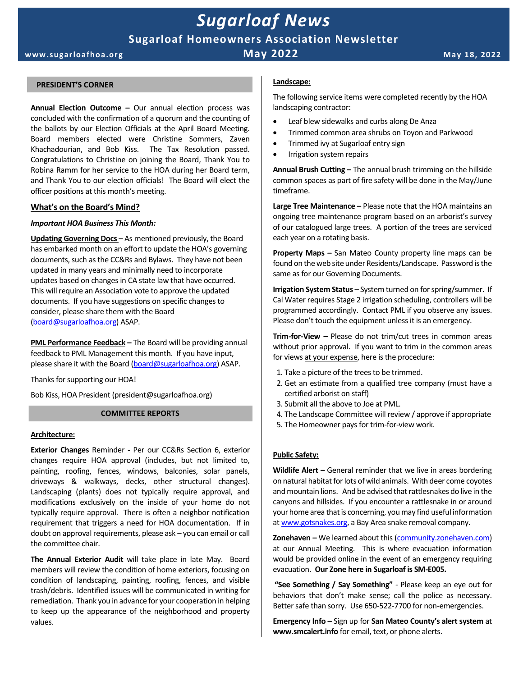# *Sugarloaf News*

## **Sugarloaf Homeowners Association Newsletter**

**www.sugar loafhoa.or g May 2022 M ay 18, 2022**

#### **PRESIDENT'S CORNER**

**Annual Election Outcome –** Our annual election process was concluded with the confirmation of a quorum and the counting of the ballots by our Election Officials at the April Board Meeting. Board members elected were Christine Sommers, Zaven Khachadourian, and Bob Kiss. The Tax Resolution passed. Congratulations to Christine on joining the Board, Thank You to Robina Ramm for her service to the HOA during her Board term, and Thank You to our election officials! The Board will elect the officer positions at this month's meeting.

#### **What's on the Board's Mind?**

#### *Important HOA Business This Month:*

**Updating Governing Docs** – As mentioned previously, the Board has embarked month on an effort to update the HOA's governing documents, such as the CC&Rs and Bylaws. They have not been updated in many years and minimally need to incorporate updates based on changes in CA state law that have occurred. This will require an Association vote to approve the updated documents. If you have suggestions on specific changes to consider, please share them with the Board [\(board@sugarloafhoa.org\)](mailto:board@sugarloafhoa.org) ASAP.

**PML Performance Feedback** – The Board will be providing annual feedback to PML Management this month. If you have input, please share it with the Board [\(board@sugarloafhoa.org\)](mailto:board@sugarloafhoa.org) ASAP.

Thanks for supporting our HOA!

Bob Kiss, HOA President (president@sugarloafhoa.org)

#### **COMMITTEE REPORTS**

#### **Architecture:**

**Exterior Changes** Reminder - Per our CC&Rs Section 6, exterior changes require HOA approval (includes, but not limited to, painting, roofing, fences, windows, balconies, solar panels, driveways & walkways, decks, other structural changes). Landscaping (plants) does not typically require approval, and modifications exclusively on the inside of your home do not typically require approval. There is often a neighbor notification requirement that triggers a need for HOA documentation. If in doubt on approval requirements, please ask – you can email or call the committee chair.

**The Annual Exterior Audit** will take place in late May. Board members will review the condition of home exteriors, focusing on condition of landscaping, painting, roofing, fences, and visible trash/debris. Identified issues will be communicated in writing for remediation. Thank you in advance for your cooperation in helping to keep up the appearance of the neighborhood and property values.

#### **Landscape:**

The following service items were completed recently by the HOA landscaping contractor:

- Leaf blew sidewalks and curbs along De Anza
- Trimmed common area shrubs on Toyon and Parkwood
- Trimmed ivy at Sugarloaf entry sign
- Irrigation system repairs

**Annual Brush Cutting –** The annual brush trimming on the hillside common spaces as part of fire safety will be done in the May/June timeframe.

**Large Tree Maintenance –** Please note that the HOA maintains an ongoing tree maintenance program based on an arborist's survey of our catalogued large trees. A portion of the trees are serviced each year on a rotating basis.

**Property Maps –** San Mateo County property line maps can be found on the web site under Residents/Landscape. Password is the same as for our Governing Documents.

**Irrigation System Status** – System turned on for spring/summer. If Cal Water requires Stage 2 irrigation scheduling, controllers will be programmed accordingly. Contact PML if you observe any issues. Please don't touch the equipment unless it is an emergency.

**Trim-for-View –** Please do not trim/cut trees in common areas without prior approval. If you want to trim in the common areas for views at your expense, here is the procedure:

- 1. Take a picture of the trees to be trimmed.
- 2. Get an estimate from a qualified tree company (must have a certified arborist on staff)
- 3. Submit all the above to Joe at PML.
- 4. The Landscape Committee will review / approve if appropriate
- 5. The Homeowner pays for trim-for-view work.

#### **Public Safety:**

**Wildlife Alert –** General reminder that we live in areas bordering on natural habitat for lots of wild animals. With deer come coyotes and mountain lions. And be advised that rattlesnakes do live in the canyons and hillsides. If you encounter a rattlesnake in or around your home area that is concerning, you may find useful information a[t www.gotsnakes.org,](http://www.gotsnakes.org/) a Bay Area snake removal company.

**Zonehaven –** We learned about this [\(community.zonehaven.com\)](http://www.zonehaven.com/) at our Annual Meeting. This is where evacuation information would be provided online in the event of an emergency requiring evacuation. **Our Zone here in Sugarloaf is SM-E005.** 

**"See Something / Say Something"** - Please keep an eye out for behaviors that don't make sense; call the police as necessary. Better safe than sorry. Use 650-522-7700 for non-emergencies.

**Emergency Info –** Sign up for **San Mateo County's alert system** at **www.smcalert.info** for email, text, or phone alerts.